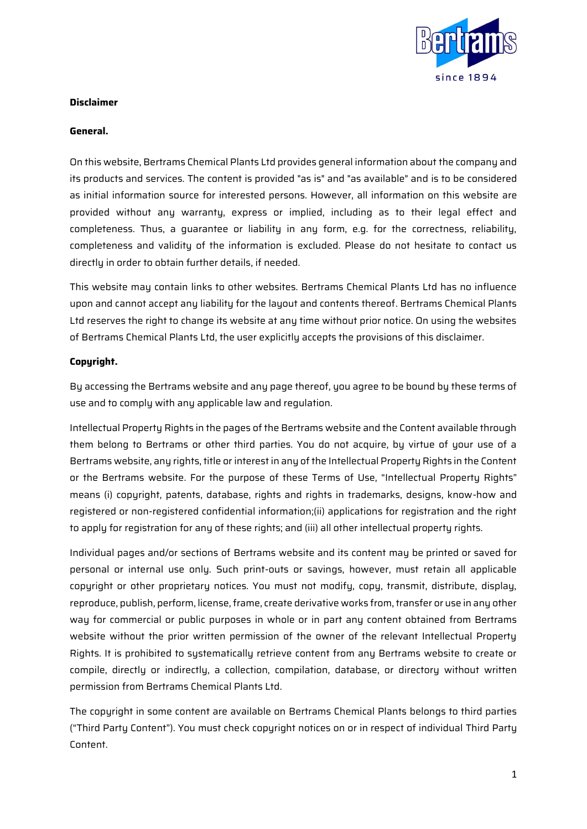

### **Disclaimer**

#### **General.**

On this website, Bertrams Chemical Plants Ltd provides general information about the company and its products and services. The content is provided "as is" and "as available" and is to be considered as initial information source for interested persons. However, all information on this website are provided without any warranty, express or implied, including as to their legal effect and completeness. Thus, a guarantee or liability in any form, e.g. for the correctness, reliability, completeness and validity of the information is excluded. Please do not hesitate to contact us directly in order to obtain further details, if needed.

This website may contain links to other websites. Bertrams Chemical Plants Ltd has no influence upon and cannot accept any liability for the layout and contents thereof. Bertrams Chemical Plants Ltd reserves the right to change its website at any time without prior notice. On using the websites of Bertrams Chemical Plants Ltd, the user explicitly accepts the provisions of this disclaimer.

### **Copyright.**

By accessing the Bertrams website and any page thereof, you agree to be bound by these terms of use and to comply with any applicable law and regulation.

Intellectual Property Rights in the pages of the Bertrams website and the Content available through them belong to Bertrams or other third parties. You do not acquire, by virtue of your use of a Bertrams website, any rights, title or interest in any of the Intellectual Property Rights in the Content or the Bertrams website. For the purpose of these Terms of Use, "Intellectual Property Rights" means (i) copyright, patents, database, rights and rights in trademarks, designs, know-how and registered or non-registered confidential information;(ii) applications for registration and the right to apply for registration for any of these rights; and (iii) all other intellectual property rights.

Individual pages and/or sections of Bertrams website and its content may be printed or saved for personal or internal use only. Such print-outs or savings, however, must retain all applicable copyright or other proprietary notices. You must not modify, copy, transmit, distribute, display, reproduce, publish, perform, license, frame, create derivative works from, transfer or use in any other way for commercial or public purposes in whole or in part any content obtained from Bertrams website without the prior written permission of the owner of the relevant Intellectual Property Rights. It is prohibited to systematically retrieve content from any Bertrams website to create or compile, directly or indirectly, a collection, compilation, database, or directory without written permission from Bertrams Chemical Plants Ltd.

The copyright in some content are available on Bertrams Chemical Plants belongs to third parties ("Third Party Content"). You must check copyright notices on or in respect of individual Third Party Content.